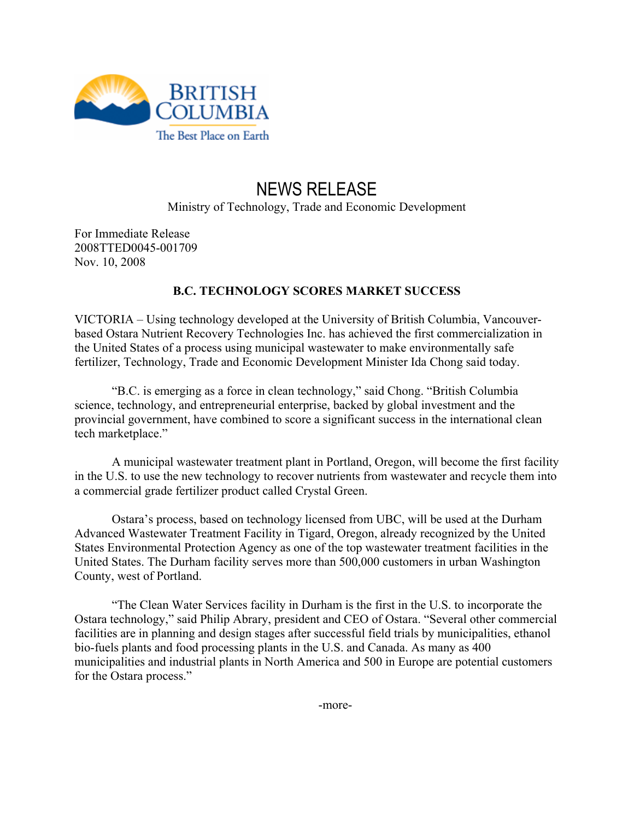

## NEWS RELEASE Ministry of Technology, Trade and Economic Development

For Immediate Release 2008TTED0045-001709 Nov. 10, 2008

## **B.C. TECHNOLOGY SCORES MARKET SUCCESS**

VICTORIA – Using technology developed at the University of British Columbia, Vancouverbased Ostara Nutrient Recovery Technologies Inc. has achieved the first commercialization in the United States of a process using municipal wastewater to make environmentally safe fertilizer, Technology, Trade and Economic Development Minister Ida Chong said today.

"B.C. is emerging as a force in clean technology," said Chong. "British Columbia science, technology, and entrepreneurial enterprise, backed by global investment and the provincial government, have combined to score a significant success in the international clean tech marketplace."

A municipal wastewater treatment plant in Portland, Oregon, will become the first facility in the U.S. to use the new technology to recover nutrients from wastewater and recycle them into a commercial grade fertilizer product called Crystal Green.

Ostara's process, based on technology licensed from UBC, will be used at the Durham Advanced Wastewater Treatment Facility in Tigard, Oregon, already recognized by the United States Environmental Protection Agency as one of the top wastewater treatment facilities in the United States. The Durham facility serves more than 500,000 customers in urban Washington County, west of Portland.

"The Clean Water Services facility in Durham is the first in the U.S. to incorporate the Ostara technology," said Philip Abrary, president and CEO of Ostara. "Several other commercial facilities are in planning and design stages after successful field trials by municipalities, ethanol bio-fuels plants and food processing plants in the U.S. and Canada. As many as 400 municipalities and industrial plants in North America and 500 in Europe are potential customers for the Ostara process."